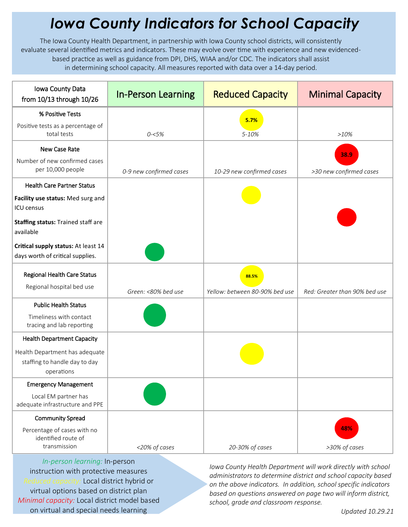## *Iowa County Indicators for School Capacity*

The Iowa County Health Department, in partnership with Iowa County school districts, will consistently evaluate several identified metrics and indicators. These may evolve over time with experience and new evidencedbased practice as well as guidance from DPI, DHS, WIAA and/or CDC. The indicators shall assist in determining school capacity. All measures reported with data over a 14-day period.

| Iowa County Data<br>from 10/13 through 10/26                                  | <b>In-Person Learning</b> | <b>Reduced Capacity</b>                 | <b>Minimal Capacity</b>       |
|-------------------------------------------------------------------------------|---------------------------|-----------------------------------------|-------------------------------|
| % Positive Tests                                                              |                           | 5.7%                                    |                               |
| Positive tests as a percentage of<br>total tests                              | $0 - 5%$                  | 5-10%                                   | >10%                          |
| New Case Rate                                                                 |                           |                                         | 38.9                          |
| Number of new confirmed cases<br>per 10,000 people                            | 0-9 new confirmed cases   | 10-29 new confirmed cases               | >30 new confirmed cases       |
| <b>Health Care Partner Status</b>                                             |                           |                                         |                               |
| Facility use status: Med surg and<br><b>ICU</b> census                        |                           |                                         |                               |
| Staffing status: Trained staff are<br>available                               |                           |                                         |                               |
| Critical supply status: At least 14<br>days worth of critical supplies.       |                           |                                         |                               |
| Regional Health Care Status<br>Regional hospital bed use                      | Green: <80% bed use       | 88.5%<br>Yellow: between 80-90% bed use | Red: Greater than 90% bed use |
| <b>Public Health Status</b>                                                   |                           |                                         |                               |
| Timeliness with contact<br>tracing and lab reporting                          |                           |                                         |                               |
| <b>Health Department Capacity</b>                                             |                           |                                         |                               |
| Health Department has adequate<br>staffing to handle day to day<br>operations |                           |                                         |                               |
| <b>Emergency Management</b>                                                   |                           |                                         |                               |
| Local EM partner has<br>adequate infrastructure and PPE                       |                           |                                         |                               |
| <b>Community Spread</b>                                                       |                           |                                         |                               |
| Percentage of cases with no<br>identified route of<br>transmission            |                           |                                         | 48%                           |
|                                                                               | <20% of cases             | 20-30% of cases                         | >30% of cases                 |

*In-person learning:* In-person instruction with protective measures *Reduced capacity:* Local district hybrid or virtual options based on district plan *Minimal capacity:* Local district model based on virtual and special needs learning

*Iowa County Health Department will work directly with school administrators to determine district and school capacity based on the above indicators. In addition, school specific indicators based on questions answered on page two will inform district, school, grade and classroom response.*